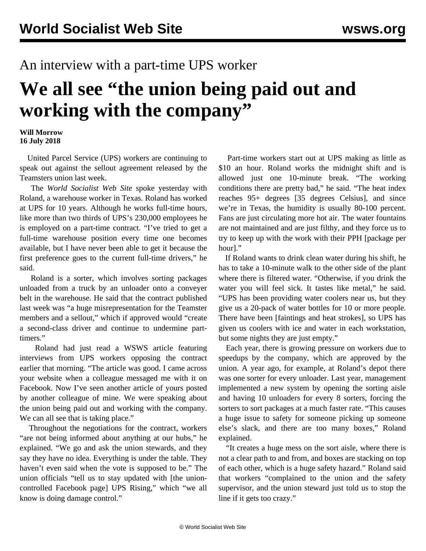## An interview with a part-time UPS worker

## **We all see "the union being paid out and working with the company"**

## **Will Morrow 16 July 2018**

 United Parcel Service (UPS) workers are continuing to speak out against the sellout agreement released by the Teamsters union last week.

 The *World Socialist Web Site* spoke yesterday with Roland, a warehouse worker in Texas. Roland has worked at UPS for 10 years. Although he works full-time hours, like more than two thirds of UPS's 230,000 employees he is employed on a part-time contract. "I've tried to get a full-time warehouse position every time one becomes available, but I have never been able to get it because the first preference goes to the current full-time drivers," he said.

 Roland is a sorter, which involves sorting packages unloaded from a truck by an unloader onto a conveyer belt in the warehouse. He said that the contract published last week was "a huge misrepresentation for the Teamster members and a sellout," which if approved would "create a second-class driver and continue to undermine parttimers."

 Roland had just read a WSWS [article](/en/articles/2018/07/14/upsc-j14.html) featuring interviews from UPS workers opposing the contract earlier that morning. "The article was good. I came across your website when a colleague messaged me with it on Facebook. Now I've seen another article of yours posted by another colleague of mine. We were speaking about the union being paid out and working with the company. We can all see that is taking place."

 Throughout the negotiations for the contract, workers "are not being informed about anything at our hubs," he explained. "We go and ask the union stewards, and they say they have no idea. Everything is under the table. They haven't even said when the vote is supposed to be." The union officials "tell us to stay updated with [the unioncontrolled Facebook page] UPS Rising," which "we all know is doing damage control."

 Part-time workers start out at UPS making as little as \$10 an hour. Roland works the midnight shift and is allowed just one 10-minute break. "The working conditions there are pretty bad," he said. "The heat index reaches 95+ degrees [35 degrees Celsius], and since we're in Texas, the humidity is usually 80-100 percent. Fans are just circulating more hot air. The water fountains are not maintained and are just filthy, and they force us to try to keep up with the work with their PPH [package per hour]."

 If Roland wants to drink clean water during his shift, he has to take a 10-minute walk to the other side of the plant where there is filtered water. "Otherwise, if you drink the water you will feel sick. It tastes like metal," he said. "UPS has been providing water coolers near us, but they give us a 20-pack of water bottles for 10 or more people. There have been [faintings and heat strokes], so UPS has given us coolers with ice and water in each workstation, but some nights they are just empty."

 Each year, there is growing pressure on workers due to speedups by the company, which are approved by the union. A year ago, for example, at Roland's depot there was one sorter for every unloader. Last year, management implemented a new system by opening the sorting aisle and having 10 unloaders for every 8 sorters, forcing the sorters to sort packages at a much faster rate. "This causes a huge issue to safety for someone picking up someone else's slack, and there are too many boxes," Roland explained.

 "It creates a huge mess on the sort aisle, where there is not a clear path to and from, and boxes are stacking on top of each other, which is a huge safety hazard." Roland said that workers "complained to the union and the safety supervisor, and the union steward just told us to stop the line if it gets too crazy."